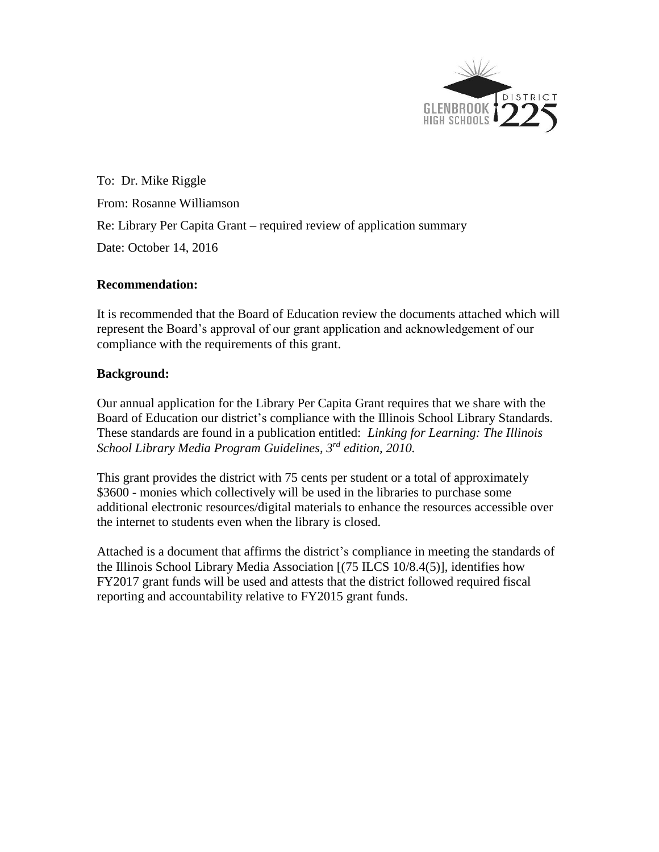

To: Dr. Mike Riggle From: Rosanne Williamson Re: Library Per Capita Grant – required review of application summary Date: October 14, 2016

## **Recommendation:**

It is recommended that the Board of Education review the documents attached which will represent the Board's approval of our grant application and acknowledgement of our compliance with the requirements of this grant.

## **Background:**

Our annual application for the Library Per Capita Grant requires that we share with the Board of Education our district's compliance with the Illinois School Library Standards. These standards are found in a publication entitled: *Linking for Learning: The Illinois School Library Media Program Guidelines, 3 rd edition, 2010.* 

This grant provides the district with 75 cents per student or a total of approximately \$3600 - monies which collectively will be used in the libraries to purchase some additional electronic resources/digital materials to enhance the resources accessible over the internet to students even when the library is closed.

Attached is a document that affirms the district's compliance in meeting the standards of the Illinois School Library Media Association [(75 ILCS 10/8.4(5)], identifies how FY2017 grant funds will be used and attests that the district followed required fiscal reporting and accountability relative to FY2015 grant funds.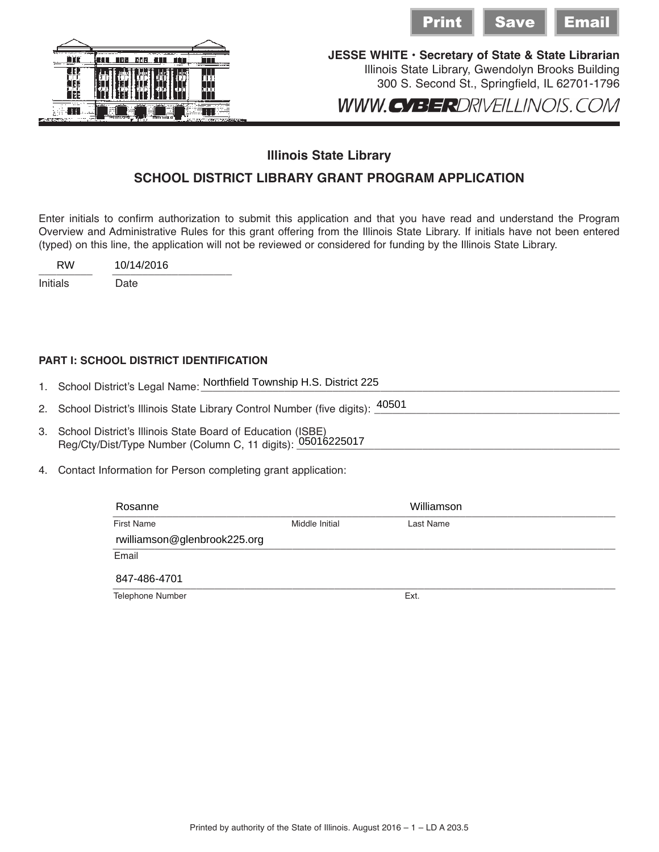



## **Illinois State Library**

## **SCHOOL DISTRICT LIBRARY GRANT PROGRAM APPLICATION**

Enter initials to confirm authorization to submit this application and that you have read and understand the Program Overview and Administrative Rules for this grant offering from the Illinois State Library. If initials have not been entered (typed) on this line, the application will not be reviewed or considered for funding by the Illinois State Library.

 $\frac{10/14}{2010}$ RW 10/14/2016

Initials Date

**PART I: SCHOOL DISTRICT IDENTIFICATION**

1. School District's Legal Name: <mark>Northfield Township H.S. District 225</mark><br>2 School District's Illinois State Library Control Number (five digits): <sup>40501</sup> 2. School District's Illinois State Library Control Number (five digits):  $\frac{40501}{\sqrt{25}}$ 

- 3. School District's Illinois State Board of Education (ISBE) Reg/Cty/Dist/Type Number (Column C, 11 digits): \_\_\_\_\_\_\_\_\_\_\_\_\_\_\_\_\_\_\_\_\_\_\_\_\_\_\_\_\_\_\_\_\_\_\_\_\_\_\_\_\_\_\_\_\_\_\_\_\_\_\_\_\_\_ 05016225017
- 4. Contact Information for Person completing grant application:

|                                                                                                                                                                                                                                                                                                                               |                                                   | <u>Print</u>                                                                                                                    | <b>Save</b> | <u>Email</u> |
|-------------------------------------------------------------------------------------------------------------------------------------------------------------------------------------------------------------------------------------------------------------------------------------------------------------------------------|---------------------------------------------------|---------------------------------------------------------------------------------------------------------------------------------|-------------|--------------|
| 180 DBB ATL<br>T<br>nпг                                                                                                                                                                                                                                                                                                       | JESSE WHITE · Secretary of State & State Libraria | Illinois State Library, Gwendolyn Brooks Building<br>300 S. Second St., Springfield, IL 62701-179<br>WWW.CYBERDRIVEILLINOIS.COM |             |              |
|                                                                                                                                                                                                                                                                                                                               | <b>Illinois State Library</b>                     |                                                                                                                                 |             |              |
| SCHOOL DISTRICT LIBRARY GRANT PROGRAM APPLICATION                                                                                                                                                                                                                                                                             |                                                   |                                                                                                                                 |             |              |
| o confirm authorization to submit this application and that you have read and understand the Progran<br>Administrative Rules for this grant offering from the Illinois State Library. If initials have not been entere<br>line, the application will not be reviewed or considered for funding by the Illinois State Library. |                                                   |                                                                                                                                 |             |              |
| 10/14/2016                                                                                                                                                                                                                                                                                                                    |                                                   |                                                                                                                                 |             |              |
| Date                                                                                                                                                                                                                                                                                                                          |                                                   |                                                                                                                                 |             |              |
| <b>OL DISTRICT IDENTIFICATION</b><br>trict's Legal Name: Northfield Township H.S. District 225                                                                                                                                                                                                                                |                                                   |                                                                                                                                 |             |              |
| trict's Illinois State Library Control Number (five digits): 40501                                                                                                                                                                                                                                                            |                                                   |                                                                                                                                 |             |              |
| trict's Illinois State Board of Education (ISBE)<br>st/Type Number (Column C, 11 digits): 05016225017                                                                                                                                                                                                                         |                                                   |                                                                                                                                 |             |              |
| ormation for Person completing grant application:                                                                                                                                                                                                                                                                             |                                                   |                                                                                                                                 |             |              |
| Rosanne                                                                                                                                                                                                                                                                                                                       |                                                   | Williamson                                                                                                                      |             |              |
| <b>First Name</b>                                                                                                                                                                                                                                                                                                             | Middle Initial                                    | Last Name                                                                                                                       |             |              |
| rwilliamson@glenbrook225.org                                                                                                                                                                                                                                                                                                  |                                                   |                                                                                                                                 |             |              |
| Email                                                                                                                                                                                                                                                                                                                         |                                                   |                                                                                                                                 |             |              |
| 847-486-4701                                                                                                                                                                                                                                                                                                                  |                                                   |                                                                                                                                 |             |              |
| Telephone Number                                                                                                                                                                                                                                                                                                              |                                                   | Ext.                                                                                                                            |             |              |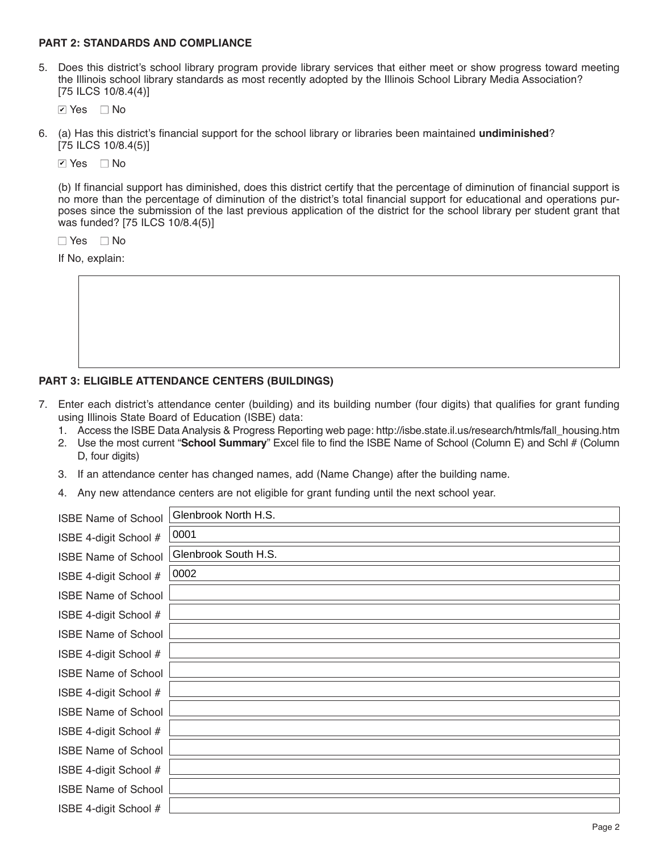#### **PART 2: STANDARDS AND COMPLIANCE**

5. Does this district's school library program provide library services that either meet or show progress toward meeting the Illinois school library standards as most recently adopted by the Illinois School Library Media Association? [75 ILCS 10/8.4(4)]

■ Yes ■ No

#### **PART 3: ELIGIBLE ATTENDANCE CENTERS (BUILDINGS)**

- 7. Enter each district's attendance center (building) and its building number (four digits) that qualifies for grant funding using Illinois State Board of Education (ISBE) data:
	- 1. Access the ISBE Data Analysis & Progress Reporting web page: http://isbe.state.il.us/research/htmls/fall\_housing.htm
	- 2. Use the most current "**School Summary**" Excel file to find the ISBE Name of School (Column E) and Schl # (Column D, four digits)
	- 3. If an attendance center has changed names, add (Name Change) after the building name.
	- 4. Any new attendance centers are not eligible for grant funding until the next school year.

| $\triangleright$ Yes $\square$ No |                                                                                                                                                                                                                                                                                                                                                                                       |
|-----------------------------------|---------------------------------------------------------------------------------------------------------------------------------------------------------------------------------------------------------------------------------------------------------------------------------------------------------------------------------------------------------------------------------------|
| $[75$ ILCS $10/8.4(5)]$           | (a) Has this district's financial support for the school library or libraries been maintained undiminished?                                                                                                                                                                                                                                                                           |
| $\Box$ No<br><b>☑</b> Yes         |                                                                                                                                                                                                                                                                                                                                                                                       |
| was funded? [75 ILCS 10/8.4(5)]   | (b) If financial support has diminished, does this district certify that the percentage of diminution of financial support is<br>no more than the percentage of diminution of the district's total financial support for educational and operations pur-<br>poses since the submission of the last previous application of the district for the school library per student grant that |
| $\Box$ No<br>$\Box$ Yes           |                                                                                                                                                                                                                                                                                                                                                                                       |
| If No, explain:                   |                                                                                                                                                                                                                                                                                                                                                                                       |
|                                   |                                                                                                                                                                                                                                                                                                                                                                                       |
|                                   | <b>RT 3: ELIGIBLE ATTENDANCE CENTERS (BUILDINGS)</b><br>Enter each district's attendance center (building) and its building number (four digits) that qualifies for grant funding<br>using Illinois State Board of Education (ISBE) data:<br>1. Access the ISBE Data Analysis & Progress Reporting web page: http://isbe.state.il.us/research/htmls/fall_housing.htm                  |
| D, four digits)                   | 2. Use the most current "School Summary" Excel file to find the ISBE Name of School (Column E) and Schl # (Column                                                                                                                                                                                                                                                                     |
| З.                                | If an attendance center has changed names, add (Name Change) after the building name.                                                                                                                                                                                                                                                                                                 |
|                                   | 4. Any new attendance centers are not eligible for grant funding until the next school year.                                                                                                                                                                                                                                                                                          |
| <b>ISBE Name of School</b>        | Glenbrook North H.S.                                                                                                                                                                                                                                                                                                                                                                  |
| ISBE 4-digit School #             | 0001                                                                                                                                                                                                                                                                                                                                                                                  |
| <b>ISBE Name of School</b>        | Glenbrook South H.S.                                                                                                                                                                                                                                                                                                                                                                  |
| ISBE 4-digit School #             | 0002                                                                                                                                                                                                                                                                                                                                                                                  |
| <b>ISBE Name of School</b>        |                                                                                                                                                                                                                                                                                                                                                                                       |
| ISBE 4-digit School #             |                                                                                                                                                                                                                                                                                                                                                                                       |
| <b>ISBE Name of School</b>        |                                                                                                                                                                                                                                                                                                                                                                                       |
| ISBE 4-digit School #             |                                                                                                                                                                                                                                                                                                                                                                                       |
| <b>ISBE Name of School</b>        |                                                                                                                                                                                                                                                                                                                                                                                       |
| ISBE 4-digit School #             |                                                                                                                                                                                                                                                                                                                                                                                       |
| <b>ISBE Name of School</b>        |                                                                                                                                                                                                                                                                                                                                                                                       |
| ISBE 4-digit School #             |                                                                                                                                                                                                                                                                                                                                                                                       |
| <b>ISBE Name of School</b>        |                                                                                                                                                                                                                                                                                                                                                                                       |
| ISBE 4-digit School #             |                                                                                                                                                                                                                                                                                                                                                                                       |
| <b>ISBE Name of School</b>        |                                                                                                                                                                                                                                                                                                                                                                                       |
| ISBE 4-digit School #             |                                                                                                                                                                                                                                                                                                                                                                                       |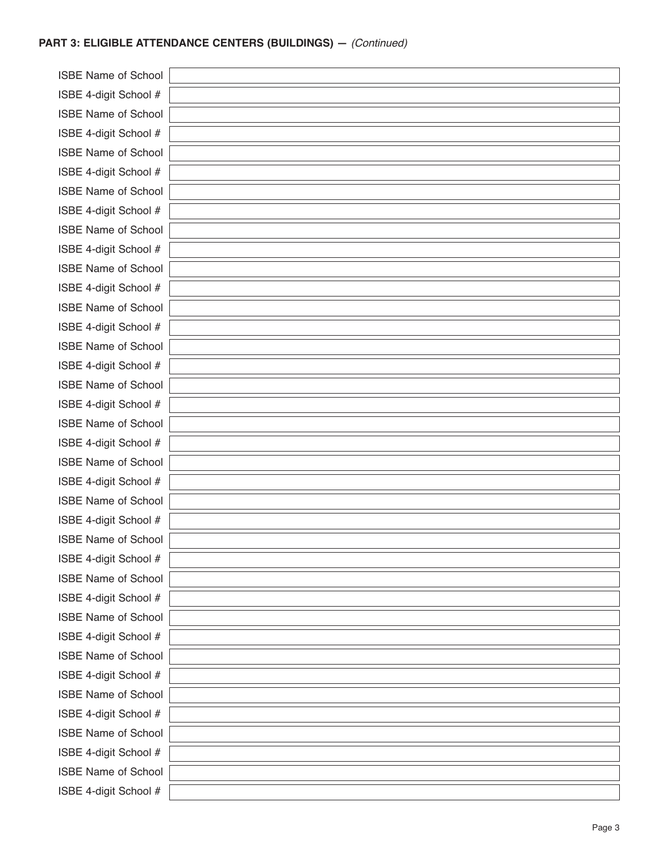#### **PART 3: ELIGIBLE ATTENDANCE CENTERS (BUILDINGS) —** *(Continued)*

**ISBE Name of Schoo** ISBE 4-digit School # **ISBE Name of School** ISBE 4-digit School # **ISBE Name of Schoo** ISBE 4-digit School # **ISBE Name of Schoo** ISBE 4-digit School # **ISBE Name of School** ISBE 4-digit School # **ISBE Name of Schoo** ISBE 4-digit School # ISBE Name of Schoo ISBE 4-digit School # **ISBE Name of School** ISBE 4-digit School # **ISBE Name of Schoo** ISBE 4-digit School # **ISBE Name of Schoo** ISBE 4-digit School # **ISBE Name of Schoo** ISBE 4-digit School # **ISBE Name of Schoo** ISBE 4-digit School # **ISBE Name of Schoo** ISBE 4-digit School # ISBE Name of Schoo ISBE 4-digit School # **ISBE Name of Schoo** ISBE 4-digit School # **ISBE Name of Schoo** ISBE 4-digit School # **ISBE Name of Schoo** ISBE 4-digit School # **ISBE Name of Schoo** ISBE 4-digit School # **ISBE Name of School** ISBE 4-digit School #

| J۱ |  |
|----|--|
| Ŧ  |  |
| J۱ |  |
| Ŧ  |  |
| J۱ |  |
| Ŧ  |  |
| J۱ |  |
| Ŧ  |  |
| J۱ |  |
| Ŧ. |  |
| J۱ |  |
| Ŧ. |  |
| k  |  |
| Ŧ. |  |
| k  |  |
| Ŧ. |  |
| k  |  |
| Ŧ. |  |
| k  |  |
| Ŧ  |  |
| k  |  |
| Ŧ  |  |
| J۱ |  |
| Ŧ  |  |
| ρĮ |  |
| ¥  |  |
| J۱ |  |
| ł. |  |
| k  |  |
| ł. |  |
| k  |  |
| ł. |  |
| k  |  |
| ł. |  |
| k  |  |
| ł. |  |
| J۱ |  |
| ł. |  |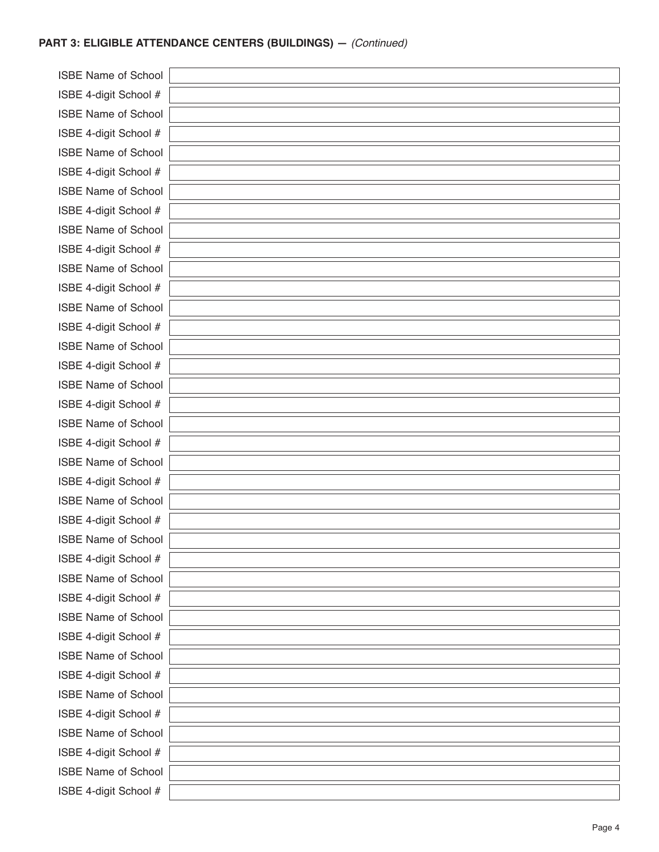#### **PART 3: ELIGIBLE ATTENDANCE CENTERS (BUILDINGS) —** *(Continued)*

**ISBE Name of Schoo** ISBE 4-digit School # **ISBE Name of School** ISBE 4-digit School # **ISBE Name of Schoo** ISBE 4-digit School # **ISBE Name of Schoo** ISBE 4-digit School # **ISBE Name of School** ISBE 4-digit School # **ISBE Name of Schoo** ISBE 4-digit School # ISBE Name of Schoo ISBE 4-digit School # **ISBE Name of School** ISBE 4-digit School # **ISBE Name of Schoo** ISBE 4-digit School # **ISBE Name of Schoo** ISBE 4-digit School # **ISBE Name of Schoo** ISBE 4-digit School # **ISBE Name of Schoo** ISBE 4-digit School # **ISBE Name of Schoo** ISBE 4-digit School # ISBE Name of Schoo ISBE 4-digit School # **ISBE Name of Schoo** ISBE 4-digit School # **ISBE Name of Schoo** ISBE 4-digit School # **ISBE Name of Schoo** ISBE 4-digit School # **ISBE Name of Schoo** ISBE 4-digit School # **ISBE Name of School** ISBE 4-digit School #

| J۱ |  |
|----|--|
| Ŧ  |  |
| J۱ |  |
| Ŧ  |  |
| J۱ |  |
| Ŧ  |  |
| J۱ |  |
| Ŧ  |  |
| J۱ |  |
| Ŧ. |  |
| J۱ |  |
| Ŧ. |  |
| k  |  |
| Ŧ. |  |
| k  |  |
| Ŧ. |  |
| k  |  |
| Ŧ. |  |
| k  |  |
| Ŧ  |  |
| k  |  |
| Ŧ  |  |
| J۱ |  |
| Ŧ  |  |
| ρĮ |  |
| ¥  |  |
| J۱ |  |
| ł. |  |
| k  |  |
| ł. |  |
| k  |  |
| ł. |  |
| k  |  |
| ł. |  |
| k  |  |
| ł. |  |
| J۱ |  |
| ł. |  |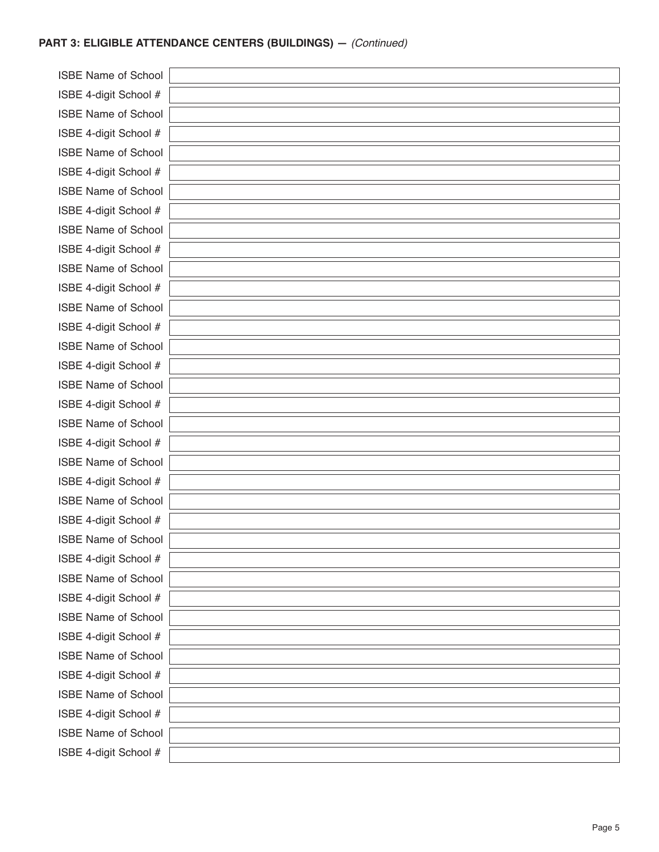#### **PART 3: ELIGIBLE ATTENDANCE CENTERS (BUILDINGS) —** *(Continued)*

**ISBE Name of Schoo** ISBE 4-digit School # **ISBE Name of School** ISBE 4-digit School # **ISBE Name of Schoo** ISBE 4-digit School # **ISBE Name of Schoo** ISBE 4-digit School # **ISBE Name of Schoo** ISBE 4-digit School # **ISBE Name of Schoo** ISBE 4-digit School # ISBE Name of Schoo ISBE 4-digit School # **ISBE Name of Schoo** ISBE 4-digit School # **ISBE Name of Schoo** ISBE 4-digit School # **ISBE Name of Schoo** ISBE 4-digit School # **ISBE Name of Schoo** ISBE 4-digit School # **ISBE Name of Schoo** ISBE 4-digit School # **ISBE Name of Schoo** ISBE 4-digit School # ISBE Name of Schoo ISBE 4-digit School # **ISBE Name of Schoo** ISBE 4-digit School # **ISBE Name of Schoo** ISBE 4-digit School # **ISBE Name of Schoo** ISBE 4-digit School # ISBE Name of Schoo ISBE 4-digit School #

| ۱l |  |
|----|--|
| t  |  |
| ١l |  |
| ŧ  |  |
| ١l |  |
| ŧ  |  |
| ١l |  |
| ŧ  |  |
| ١l |  |
| ŧ  |  |
| ١l |  |
| ŧ  |  |
| ١l |  |
| ŧ  |  |
| ١l |  |
| ŧ  |  |
| ١l |  |
| ŧ  |  |
| ١l |  |
| ŧ  |  |
| J۱ |  |
| ŧ  |  |
| ١l |  |
| t  |  |
| J  |  |
| ŧ  |  |
| ١l |  |
| ŧ  |  |
| ١l |  |
| ŧ  |  |
| ١l |  |
| ŧ  |  |
| ١l |  |
| ŧ  |  |
| J۱ |  |
| ŧ  |  |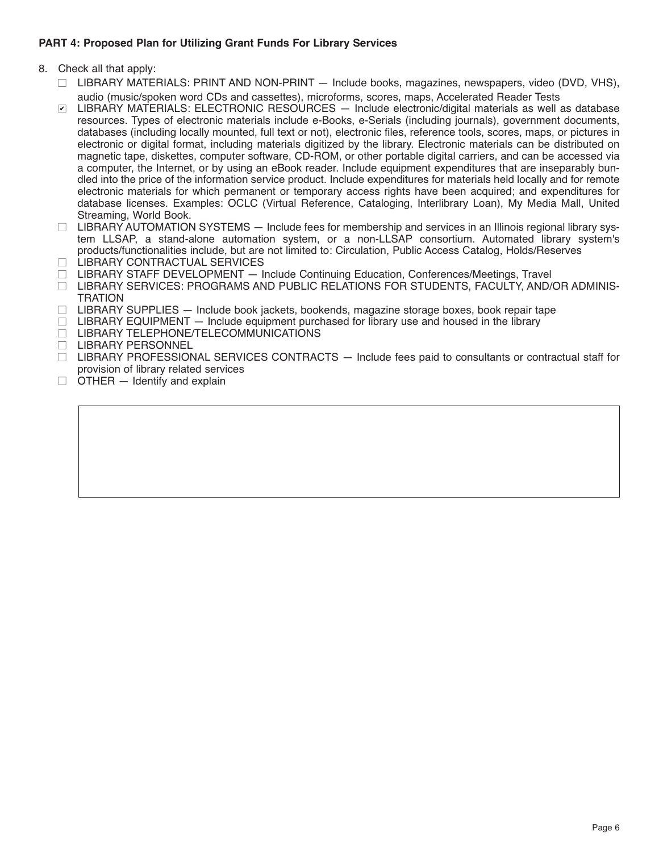#### **PART 4: Proposed Plan for Utilizing Grant Funds For Library Services**

- 8. Check all that apply:
	- $\Box$  LIBRARY MATERIALS: PRINT AND NON-PRINT  $-$  Include books, magazines, newspapers, video (DVD, VHS), audio (music/spoken word CDs and cassettes), microforms, scores, maps, Accelerated Reader Tests
	- LIBRARY MATERIALS: ELECTRONIC RESOURCES Include electronic/digital materials as well as database ✔resources. Types of electronic materials include e-Books, e-Serials (including journals), government documents, databases (including locally mounted, full text or not), electronic files, reference tools, scores, maps, or pictures in electronic or digital format, including materials digitized by the library. Electronic materials can be distributed on magnetic tape, diskettes, computer software, CD-ROM, or other portable digital carriers, and can be accessed via a computer, the Internet, or by using an eBook reader. Include equipment expenditures that are inseparably bundled into the price of the information service product. Include expenditures for materials held locally and for remote electronic materials for which permanent or temporary access rights have been acquired; and expenditures for database licenses. Examples: OCLC (Virtual Reference, Cataloging, Interlibrary Loan), My Media Mall, United Streaming, World Book.
	- $\Box$  LIBRARY AUTOMATION SYSTEMS  $-$  Include fees for membership and services in an Illinois regional library system LLSAP, a stand-alone automation system, or a non-LLSAP consortium. Automated library system's products/functionalities include, but are not limited to: Circulation, Public Access Catalog, Holds/Reserves
	- □ LIBRARY CONTRACTUAL SERVICES
	- $\Box$  LIBRARY STAFF DEVELOPMENT  $-$  Include Continuing Education, Conferences/Meetings, Travel
	- □ LIBRARY SERVICES: PROGRAMS AND PUBLIC RELATIONS FOR STUDENTS, FACULTY, AND/OR ADMINIS-**TRATION**
	- $\Box$  LIBRARY SUPPLIES  $-$  Include book jackets, bookends, magazine storage boxes, book repair tape
	- $\Box$  LIBRARY EQUIPMENT  $-$  Include equipment purchased for library use and housed in the library
	- □ LIBRARY TELEPHONE/TELECOMMUNICATIONS
	- □ LIBRARY PERSONNEL
	- $\Box$  LIBRARY PROFESSIONAL SERVICES CONTRACTS  $-$  Include fees paid to consultants or contractual staff for provision of library related services
	- $\Box$  OTHER  $-$  Identify and explain